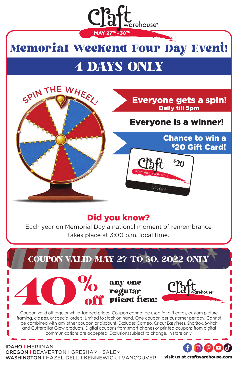# Memorial Weekend Four Day Event! MAY 27TH - 30TH

varehouse®

# 4 DAYS ONLY



#### Everyone gets a spin! Daily till 5pm

## Everyone is a winner!

**\$ 20**

Gift Card

Chance to win a \$20 Gift Card!

### Did you know?

Each year on Memorial Day a national moment of remembrance takes place at 3:00 p.m. local time.